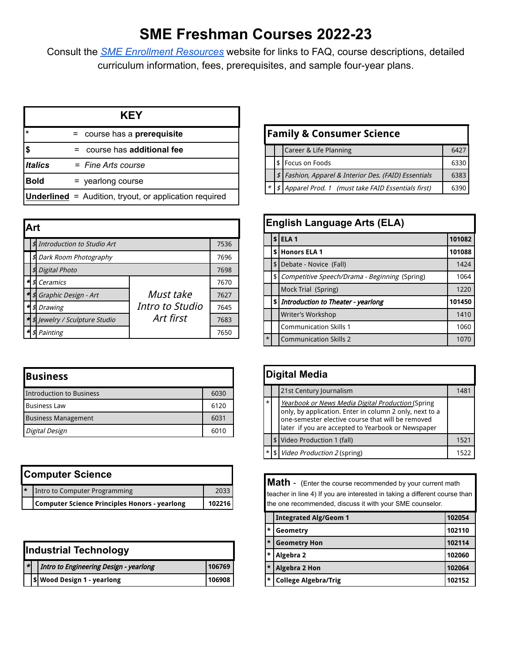# **SME Freshman Courses 2022-23**

Consult the *[SME Enrollment Resources](https://smeast.smsd.org/students/counseling/current-8th-graders)* website for links to FAQ, course descriptions, detailed curriculum information, fees, prerequisites, and sample four-year plans.

|                               | <b>KEY</b>                                                    |  |
|-------------------------------|---------------------------------------------------------------|--|
| $=$ course has a prerequisite |                                                               |  |
| \$                            | $=$ course has additional fee                                 |  |
| <b>Italics</b>                | $=$ Fine Arts course                                          |  |
| <b>Bold</b>                   | = yearlong course                                             |  |
|                               | <b>Underlined</b> = Audition, tryout, or application required |  |

|    | Art |                                 |                 |      |  |
|----|-----|---------------------------------|-----------------|------|--|
|    |     | \$ Introduction to Studio Art   |                 | 7536 |  |
|    |     | \$ Dark Room Photography        |                 | 7696 |  |
|    | \$1 | <b>Digital Photo</b>            |                 | 7698 |  |
| ۰H | \$1 | Ceramics                        |                 | 7670 |  |
|    |     | * \$ Graphic Design - Art       | Must take       | 7627 |  |
| 세  | \$  | <b>Drawing</b>                  | Intro to Studio | 7645 |  |
|    |     | * \$ Jewelry / Sculpture Studio | Art first       | 7683 |  |
| ۰H | \$1 | Painting                        |                 | 7650 |  |

| <b>Business</b>            |      |  |
|----------------------------|------|--|
| Introduction to Business   | 6030 |  |
| <b>Business Law</b>        | 6120 |  |
| <b>Business Management</b> | 6031 |  |
| Digital Design             |      |  |

| <b>Computer Science</b>                       |      |  |
|-----------------------------------------------|------|--|
| Intro to Computer Programming                 | 2033 |  |
| Computer Science Principles Honors - yearlong |      |  |

|   | <b>Industrial Technology</b> |                                        |        |  |
|---|------------------------------|----------------------------------------|--------|--|
| ∗ |                              | Intro to Engineering Design - yearlong | 106769 |  |
|   |                              | \$ Wood Design 1 - yearlong            | 106908 |  |

| <b>Family &amp; Consumer Science</b>                  |                               |  |      |  |  |
|-------------------------------------------------------|-------------------------------|--|------|--|--|
|                                                       | Career & Life Planning<br>642 |  |      |  |  |
|                                                       | Focus on Foods<br>\$          |  | 6330 |  |  |
| \$ Fashion, Apparel & Interior Des. (FAID) Essentials |                               |  |      |  |  |
| Apparel Prod. 1 (must take FAID Essentials first)     |                               |  |      |  |  |

|               | <b>English Language Arts (ELA)</b> |                                               |        |  |
|---------------|------------------------------------|-----------------------------------------------|--------|--|
|               |                                    | \$ ELA <sub>1</sub>                           | 101082 |  |
|               | \$                                 | <b>Honors ELA 1</b>                           | 101088 |  |
|               | \$                                 | Debate - Novice (Fall)                        | 1424   |  |
|               | \$                                 | Competitive Speech/Drama - Beginning (Spring) | 1064   |  |
|               |                                    | Mock Trial (Spring)                           | 1220   |  |
|               | \$                                 | Introduction to Theater - yearlong            | 101450 |  |
|               | Writer's Workshop                  |                                               | 1410   |  |
|               |                                    | <b>Communication Skills 1</b>                 | 1060   |  |
| $\vert \star$ |                                    | <b>Communication Skills 2</b>                 | 1070   |  |

|         | <b>Digital Media</b>           |                                                                                                                                                                                                                         |               |  |
|---------|--------------------------------|-------------------------------------------------------------------------------------------------------------------------------------------------------------------------------------------------------------------------|---------------|--|
|         | 21st Century Journalism<br>148 |                                                                                                                                                                                                                         |               |  |
| $\star$ |                                | Yearbook or News Media Digital Production (Spring<br>only, by application. Enter in column 2 only, next to a<br>one-semester elective course that will be removed<br>later if you are accepted to Yearbook or Newspaper |               |  |
|         |                                | \$ Video Production 1 (fall)                                                                                                                                                                                            | 1521          |  |
|         | \$                             | <i>Video Production 2 (spring)</i>                                                                                                                                                                                      | $152^{\circ}$ |  |

**Math** - (Enter the course recommended by your current math teacher in line 4) If you are interested in taking a different course than the one recommended, discuss it with your SME counselor.

|         | <b>Integrated Alg/Geom 1</b> | 102054 |
|---------|------------------------------|--------|
| $\star$ | Geometry                     | 102110 |
| $\star$ | <b>Geometry Hon</b>          | 102114 |
| $\star$ | Algebra 2                    | 102060 |
| $\star$ | Algebra 2 Hon                | 102064 |
| $\star$ | <b>College Algebra/Trig</b>  | 102152 |